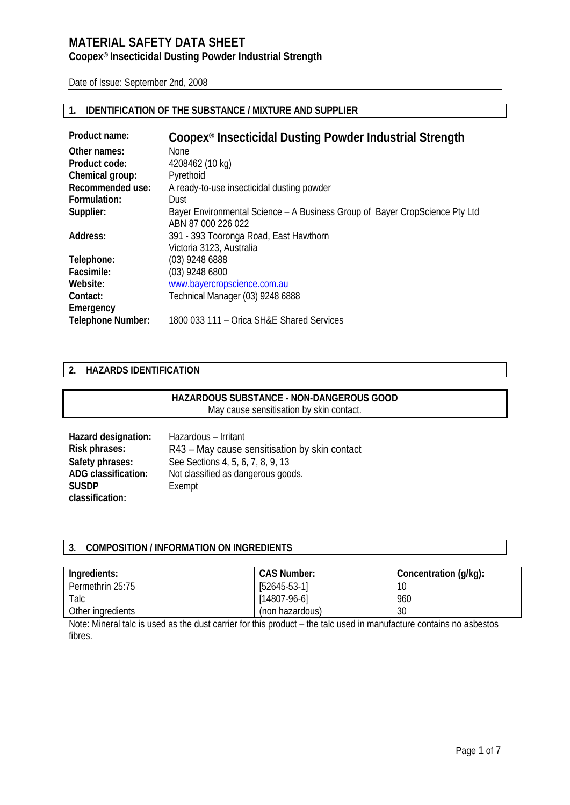### **Coopex® Insecticidal Dusting Powder Industrial Strength**

Date of Issue: September 2nd, 2008

### **1. IDENTIFICATION OF THE SUBSTANCE / MIXTURE AND SUPPLIER**

| Product name:            | Coopex <sup>®</sup> Insecticidal Dusting Powder Industrial Strength         |
|--------------------------|-----------------------------------------------------------------------------|
| Other names:             | None                                                                        |
| Product code:            | 4208462 (10 kg)                                                             |
| Chemical group:          | Pyrethoid                                                                   |
| Recommended use:         | A ready-to-use insecticidal dusting powder                                  |
| Formulation:             | Dust                                                                        |
| Supplier:                | Bayer Environmental Science – A Business Group of Bayer CropScience Pty Ltd |
|                          | ABN 87 000 226 022                                                          |
| Address:                 | 391 - 393 Tooronga Road, East Hawthorn                                      |
|                          | Victoria 3123, Australia                                                    |
| Telephone:               | (03) 9248 6888                                                              |
| Facsimile:               | (03) 9248 6800                                                              |
| Website:                 | www.bayercropscience.com.au                                                 |
| Contact:                 | Technical Manager (03) 9248 6888                                            |
| Emergency                |                                                                             |
| <b>Telephone Number:</b> | 1800 033 111 - Orica SH&E Shared Services                                   |

#### **2. HAZARDS IDENTIFICATION**

### **HAZARDOUS SUBSTANCE - NON-DANGEROUS GOOD**  May cause sensitisation by skin contact.

| Hazard designation:        | Hazardous - Irritant                          |
|----------------------------|-----------------------------------------------|
| Risk phrases:              | R43 – May cause sensitisation by skin contact |
| Safety phrases:            | See Sections 4, 5, 6, 7, 8, 9, 13             |
| <b>ADG classification:</b> | Not classified as dangerous goods.            |
| <b>SUSDP</b>               | Exempt                                        |
| classification:            |                                               |

### **3. COMPOSITION / INFORMATION ON INGREDIENTS**

| Ingredients:      | <b>CAS Number:</b> | Concentration (g/kg): |
|-------------------|--------------------|-----------------------|
| Permethrin 25:75  | $[52645-53-1]$     | 10                    |
| Talc              | $[14807-96-6]$     | 960                   |
| Other ingredients | (non hazardous)    | 30                    |

Note: Mineral talc is used as the dust carrier for this product – the talc used in manufacture contains no asbestos fibres.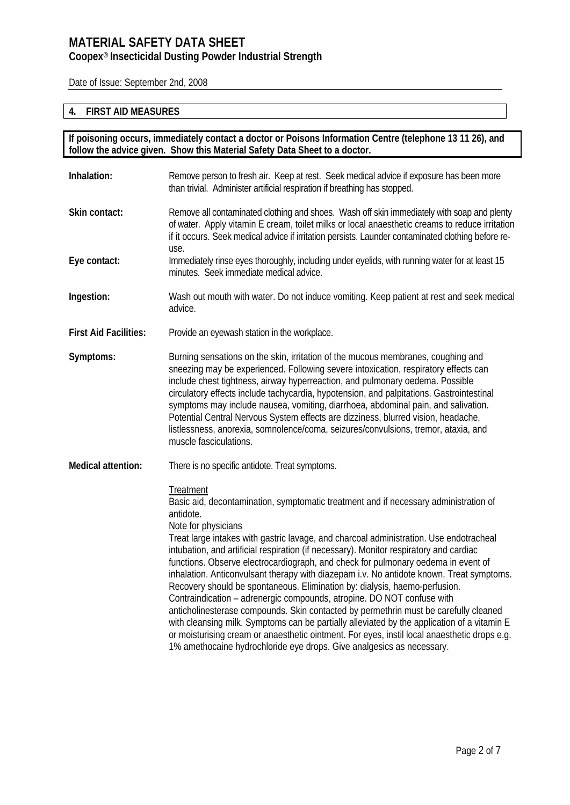### **Coopex® Insecticidal Dusting Powder Industrial Strength**

Date of Issue: September 2nd, 2008

### **4. FIRST AID MEASURES**

**If poisoning occurs, immediately contact a doctor or Poisons Information Centre (telephone 13 11 26), and follow the advice given. Show this Material Safety Data Sheet to a doctor.**

| Inhalation:                  | Remove person to fresh air. Keep at rest. Seek medical advice if exposure has been more<br>than trivial. Administer artificial respiration if breathing has stopped.                                                                                                                                                                                                                                                                                                                                                                                                                                                                                                                                                                                                                                                                                                                                                                                                                                                               |
|------------------------------|------------------------------------------------------------------------------------------------------------------------------------------------------------------------------------------------------------------------------------------------------------------------------------------------------------------------------------------------------------------------------------------------------------------------------------------------------------------------------------------------------------------------------------------------------------------------------------------------------------------------------------------------------------------------------------------------------------------------------------------------------------------------------------------------------------------------------------------------------------------------------------------------------------------------------------------------------------------------------------------------------------------------------------|
| Skin contact:                | Remove all contaminated clothing and shoes. Wash off skin immediately with soap and plenty<br>of water. Apply vitamin E cream, toilet milks or local anaesthetic creams to reduce irritation<br>if it occurs. Seek medical advice if irritation persists. Launder contaminated clothing before re-<br>use.                                                                                                                                                                                                                                                                                                                                                                                                                                                                                                                                                                                                                                                                                                                         |
| Eye contact:                 | Immediately rinse eyes thoroughly, including under eyelids, with running water for at least 15<br>minutes. Seek immediate medical advice.                                                                                                                                                                                                                                                                                                                                                                                                                                                                                                                                                                                                                                                                                                                                                                                                                                                                                          |
| Ingestion:                   | Wash out mouth with water. Do not induce vomiting. Keep patient at rest and seek medical<br>advice.                                                                                                                                                                                                                                                                                                                                                                                                                                                                                                                                                                                                                                                                                                                                                                                                                                                                                                                                |
| <b>First Aid Facilities:</b> | Provide an eyewash station in the workplace.                                                                                                                                                                                                                                                                                                                                                                                                                                                                                                                                                                                                                                                                                                                                                                                                                                                                                                                                                                                       |
| Symptoms:                    | Burning sensations on the skin, irritation of the mucous membranes, coughing and<br>sneezing may be experienced. Following severe intoxication, respiratory effects can<br>include chest tightness, airway hyperreaction, and pulmonary oedema. Possible<br>circulatory effects include tachycardia, hypotension, and palpitations. Gastrointestinal<br>symptoms may include nausea, vomiting, diarrhoea, abdominal pain, and salivation.<br>Potential Central Nervous System effects are dizziness, blurred vision, headache,<br>listlessness, anorexia, somnolence/coma, seizures/convulsions, tremor, ataxia, and<br>muscle fasciculations.                                                                                                                                                                                                                                                                                                                                                                                     |
| <b>Medical attention:</b>    | There is no specific antidote. Treat symptoms.                                                                                                                                                                                                                                                                                                                                                                                                                                                                                                                                                                                                                                                                                                                                                                                                                                                                                                                                                                                     |
|                              | Treatment<br>Basic aid, decontamination, symptomatic treatment and if necessary administration of<br>antidote.<br>Note for physicians<br>Treat large intakes with gastric lavage, and charcoal administration. Use endotracheal<br>intubation, and artificial respiration (if necessary). Monitor respiratory and cardiac<br>functions. Observe electrocardiograph, and check for pulmonary oedema in event of<br>inhalation. Anticonvulsant therapy with diazepam i.v. No antidote known. Treat symptoms.<br>Recovery should be spontaneous. Elimination by: dialysis, haemo-perfusion.<br>Contraindication - adrenergic compounds, atropine. DO NOT confuse with<br>anticholinesterase compounds. Skin contacted by permethrin must be carefully cleaned<br>with cleansing milk. Symptoms can be partially alleviated by the application of a vitamin E<br>or moisturising cream or anaesthetic ointment. For eyes, instil local anaesthetic drops e.g.<br>1% amethocaine hydrochloride eye drops. Give analgesics as necessary. |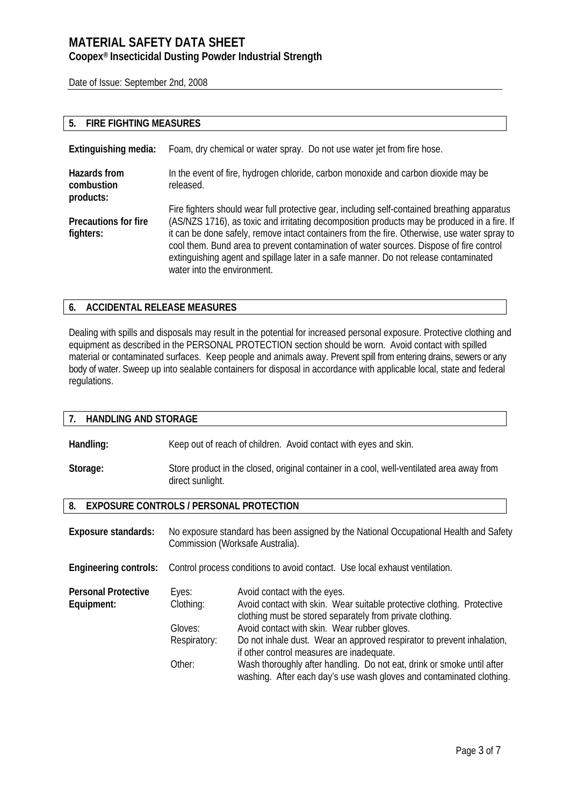### **Coopex® Insecticidal Dusting Powder Industrial Strength**

Date of Issue: September 2nd, 2008

### **5. FIRE FIGHTING MEASURES**

| Extinguishing media:                     | Foam, dry chemical or water spray. Do not use water jet from fire hose.                                                                                                                                                                                                                                                                                                                                                                                                                                       |
|------------------------------------------|---------------------------------------------------------------------------------------------------------------------------------------------------------------------------------------------------------------------------------------------------------------------------------------------------------------------------------------------------------------------------------------------------------------------------------------------------------------------------------------------------------------|
| Hazards from<br>combustion<br>products:  | In the event of fire, hydrogen chloride, carbon monoxide and carbon dioxide may be<br>released.                                                                                                                                                                                                                                                                                                                                                                                                               |
| <b>Precautions for fire</b><br>fighters: | Fire fighters should wear full protective gear, including self-contained breathing apparatus<br>(AS/NZS 1716), as toxic and irritating decomposition products may be produced in a fire. If<br>it can be done safely, remove intact containers from the fire. Otherwise, use water spray to<br>cool them. Bund area to prevent contamination of water sources. Dispose of fire control<br>extinguishing agent and spillage later in a safe manner. Do not release contaminated<br>water into the environment. |

### **6. ACCIDENTAL RELEASE MEASURES**

Dealing with spills and disposals may result in the potential for increased personal exposure. Protective clothing and equipment as described in the PERSONAL PROTECTION section should be worn. Avoid contact with spilled material or contaminated surfaces. Keep people and animals away. Prevent spill from entering drains, sewers or any body of water. Sweep up into sealable containers for disposal in accordance with applicable local, state and federal regulations.

| <b>HANDLING AND STORAGE</b><br>7 <sub>1</sub>        |                                                                                                                           |                                                                                                                                                                                                                                                                                                                                                                                                                                                                                              |
|------------------------------------------------------|---------------------------------------------------------------------------------------------------------------------------|----------------------------------------------------------------------------------------------------------------------------------------------------------------------------------------------------------------------------------------------------------------------------------------------------------------------------------------------------------------------------------------------------------------------------------------------------------------------------------------------|
| Handling:                                            |                                                                                                                           | Keep out of reach of children. Avoid contact with eyes and skin.                                                                                                                                                                                                                                                                                                                                                                                                                             |
| Storage:                                             | Store product in the closed, original container in a cool, well-ventilated area away from<br>direct sunlight.             |                                                                                                                                                                                                                                                                                                                                                                                                                                                                                              |
| 8.<br><b>EXPOSURE CONTROLS / PERSONAL PROTECTION</b> |                                                                                                                           |                                                                                                                                                                                                                                                                                                                                                                                                                                                                                              |
| <b>Exposure standards:</b>                           | No exposure standard has been assigned by the National Occupational Health and Safety<br>Commission (Worksafe Australia). |                                                                                                                                                                                                                                                                                                                                                                                                                                                                                              |
| <b>Engineering controls:</b>                         |                                                                                                                           | Control process conditions to avoid contact. Use local exhaust ventilation.                                                                                                                                                                                                                                                                                                                                                                                                                  |
| <b>Personal Protective</b><br>Equipment:             | Eyes:<br>Clothing:<br>Gloves:<br>Respiratory:<br>Other:                                                                   | Avoid contact with the eyes.<br>Avoid contact with skin. Wear suitable protective clothing. Protective<br>clothing must be stored separately from private clothing.<br>Avoid contact with skin. Wear rubber gloves.<br>Do not inhale dust. Wear an approved respirator to prevent inhalation,<br>if other control measures are inadequate.<br>Wash thoroughly after handling. Do not eat, drink or smoke until after<br>washing. After each day's use wash gloves and contaminated clothing. |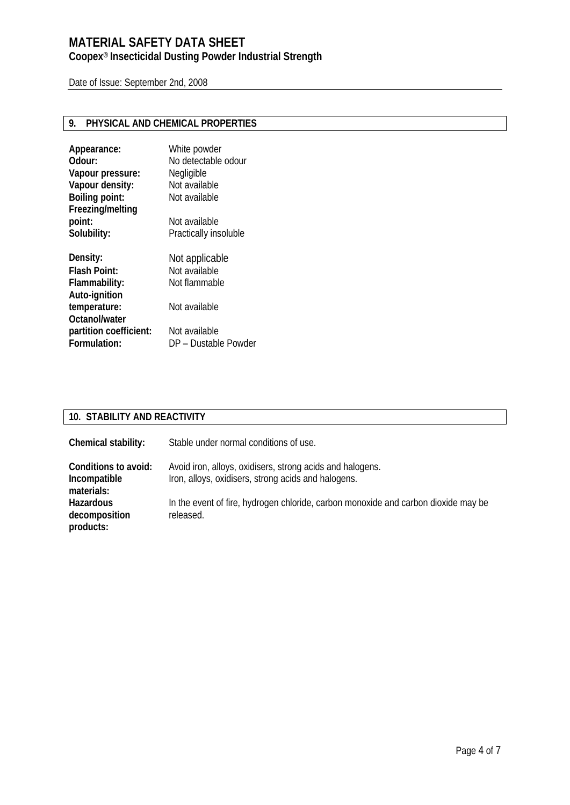# **Coopex® Insecticidal Dusting Powder Industrial Strength**

Date of Issue: September 2nd, 2008

# **9. PHYSICAL AND CHEMICAL PROPERTIES**

| Appearance:<br>Odour:           | White powder<br>No detectable odour |
|---------------------------------|-------------------------------------|
| Vapour pressure:                | Negligible                          |
| Vapour density:                 | Not available                       |
| <b>Boiling point:</b>           | Not available                       |
| Freezing/melting                |                                     |
| point:                          | Not available                       |
| Solubility:                     | Practically insoluble               |
|                                 |                                     |
|                                 |                                     |
|                                 | Not applicable                      |
| Density:<br><b>Flash Point:</b> | Not available                       |
| Flammability:                   | Not flammable                       |
| Auto-ignition                   |                                     |
| temperature:                    | Not available                       |
| Octanol/water                   |                                     |
| partition coefficient:          | Not available                       |

# **10. STABILITY AND REACTIVITY**

| Chemical stability:                                | Stable under normal conditions of use.                                                                           |
|----------------------------------------------------|------------------------------------------------------------------------------------------------------------------|
| Conditions to avoid:<br>Incompatible<br>materials: | Avoid iron, alloys, oxidisers, strong acids and halogens.<br>Iron, alloys, oxidisers, strong acids and halogens. |
| Hazardous<br>decomposition<br>products:            | In the event of fire, hydrogen chloride, carbon monoxide and carbon dioxide may be<br>released.                  |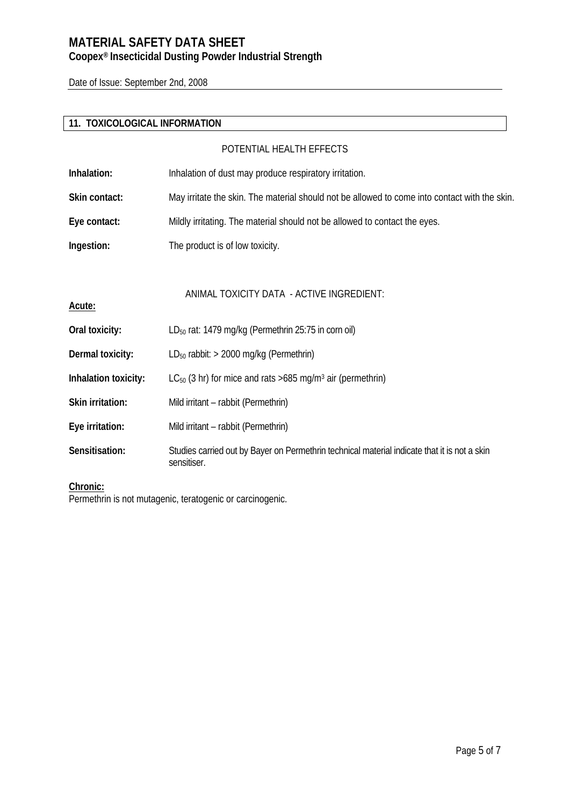# **MATERIAL SAFETY DATA SHEET Coopex® Insecticidal Dusting Powder Industrial Strength**

Date of Issue: September 2nd, 2008

# **11. TOXICOLOGICAL INFORMATION**

|                      | POTENTIAL HEALTH EFFECTS                                                                                    |
|----------------------|-------------------------------------------------------------------------------------------------------------|
| Inhalation:          | Inhalation of dust may produce respiratory irritation.                                                      |
| Skin contact:        | May irritate the skin. The material should not be allowed to come into contact with the skin.               |
| Eye contact:         | Mildly irritating. The material should not be allowed to contact the eyes.                                  |
| Ingestion:           | The product is of low toxicity.                                                                             |
| Acute:               | ANIMAL TOXICITY DATA - ACTIVE INGREDIENT:                                                                   |
| Oral toxicity:       | LD <sub>50</sub> rat: 1479 mg/kg (Permethrin 25:75 in corn oil)                                             |
| Dermal toxicity:     | $LD_{50}$ rabbit: > 2000 mg/kg (Permethrin)                                                                 |
| Inhalation toxicity: | $LC_{50}$ (3 hr) for mice and rats >685 mg/m <sup>3</sup> air (permethrin)                                  |
| Skin irritation:     | Mild irritant – rabbit (Permethrin)                                                                         |
| Eye irritation:      | Mild irritant - rabbit (Permethrin)                                                                         |
| Sensitisation:       | Studies carried out by Bayer on Permethrin technical material indicate that it is not a skin<br>sensitiser. |

#### **Chronic:**

Permethrin is not mutagenic, teratogenic or carcinogenic.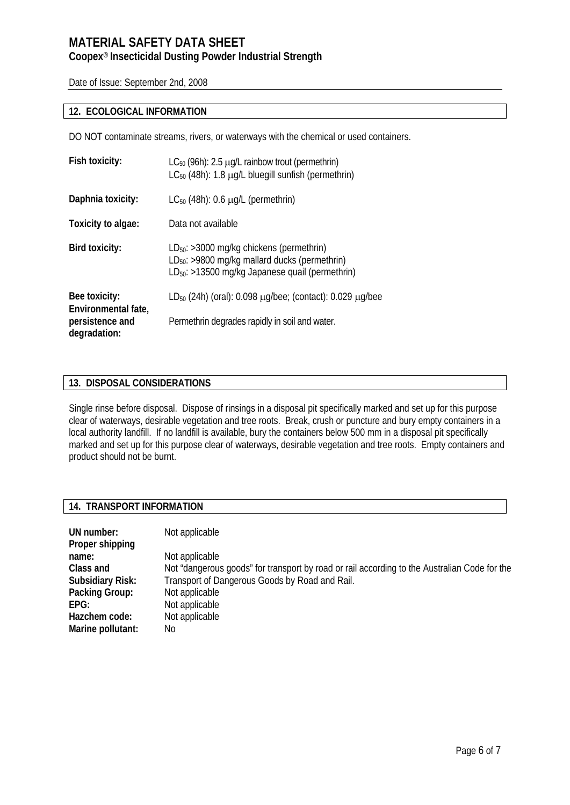### **Coopex® Insecticidal Dusting Powder Industrial Strength**

Date of Issue: September 2nd, 2008

#### **12. ECOLOGICAL INFORMATION**

DO NOT contaminate streams, rivers, or waterways with the chemical or used containers.

| Fish toxicity:                       | $LC_{50}$ (96h): 2.5 $\mu$ g/L rainbow trout (permethrin)<br>$LC_{50}$ (48h): 1.8 $\mu$ g/L bluegill sunfish (permethrin)                                   |
|--------------------------------------|-------------------------------------------------------------------------------------------------------------------------------------------------------------|
| Daphnia toxicity:                    | $LC_{50}$ (48h): 0.6 $\mu$ g/L (permethrin)                                                                                                                 |
| Toxicity to algae:                   | Data not available                                                                                                                                          |
| Bird toxicity:                       | $LD_{50}$ : >3000 mg/kg chickens (permethrin)<br>$LD_{50}$ : >9800 mg/kg mallard ducks (permethrin)<br>$LD_{50}$ : >13500 mg/kg Japanese quail (permethrin) |
| Bee toxicity:<br>Environmental fate, | $LD_{50}$ (24h) (oral): 0.098 $\mu q$ /bee; (contact): 0.029 $\mu q$ /bee                                                                                   |
| persistence and<br>degradation:      | Permethrin degrades rapidly in soil and water.                                                                                                              |

### **13. DISPOSAL CONSIDERATIONS**

Single rinse before disposal. Dispose of rinsings in a disposal pit specifically marked and set up for this purpose clear of waterways, desirable vegetation and tree roots. Break, crush or puncture and bury empty containers in a local authority landfill. If no landfill is available, bury the containers below 500 mm in a disposal pit specifically marked and set up for this purpose clear of waterways, desirable vegetation and tree roots. Empty containers and product should not be burnt.

#### **14. TRANSPORT INFORMATION**

| UN number:<br>Proper shipping | Not applicable                                                                               |
|-------------------------------|----------------------------------------------------------------------------------------------|
| name:                         | Not applicable                                                                               |
| Class and                     | Not "dangerous goods" for transport by road or rail according to the Australian Code for the |
| <b>Subsidiary Risk:</b>       | Transport of Dangerous Goods by Road and Rail.                                               |
| Packing Group:                | Not applicable                                                                               |
| EPG:                          | Not applicable                                                                               |
| Hazchem code:                 | Not applicable                                                                               |
| Marine pollutant:             | No                                                                                           |